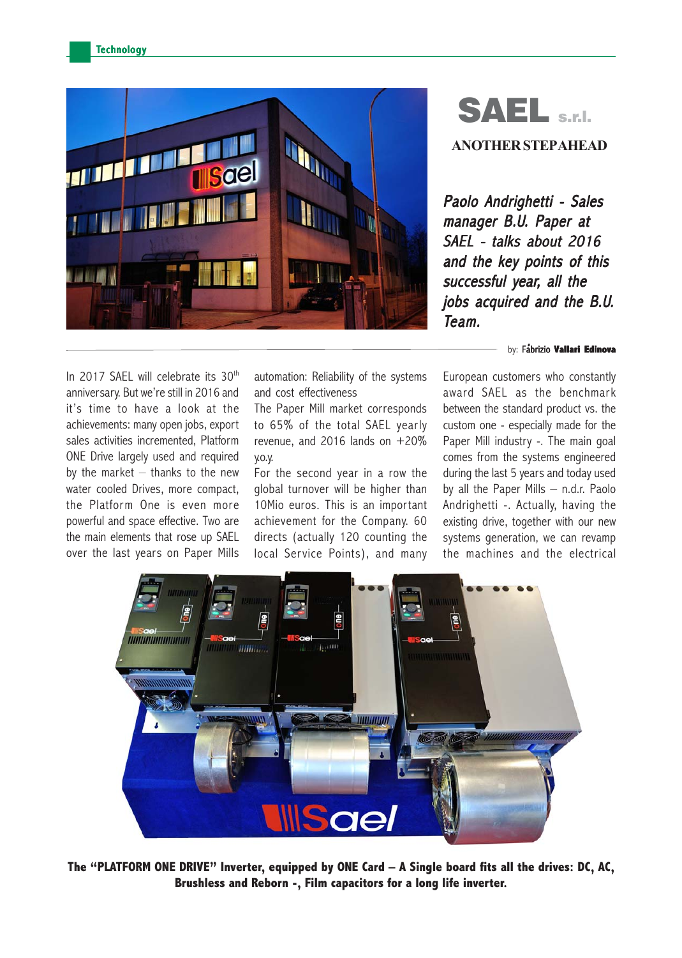

## SAEL S.E. **ANOTHER STEP AHEAD**

Paolo Andrighetti - Sales manager B.U. Paper at SAEL - talks about 2016 and the key points of this successful year, all the jobs acquired and the B.U. Team.

. by: Fabrizio Fabrizio **Vallari Edinova**

In 2017 SAEL will celebrate its 30<sup>th</sup> anniversary. But we're still in 2016 and it's time to have a look at the achievements: many open jobs, export sales activities incremented, Platform ONE Drive largely used and required by the market  $-$  thanks to the new water cooled Drives, more compact, the Platform One is even more powerful and space effective. Two are the main elements that rose up SAEL over the last years on Paper Mills

automation: Reliability of the systems and cost effectiveness

The Paper Mill market corresponds to 65% of the total SAEL yearly revenue, and 2016 lands on  $+20\%$ y.o.y.

For the second year in a row the global turnover will be higher than 10Mio euros. This is an important achievement for the Company. 60 directs (actually 120 counting the local Service Points), and many European customers who constantly award SAEL as the benchmark between the standard product vs. the custom one - especially made for the Paper Mill industry -. The main goal comes from the systems engineered during the last 5 years and today used by all the Paper Mills – n.d.r. Paolo Andrighetti -. Actually, having the existing drive, together with our new systems generation, we can revamp the machines and the electrical



**The "PLATFORM ONE DRIVE" Inverter, equipped by ONE Card – A Single board fits all the drives: DC, AC, Brushless and Reborn -, Film capacitors for a long life inverter.**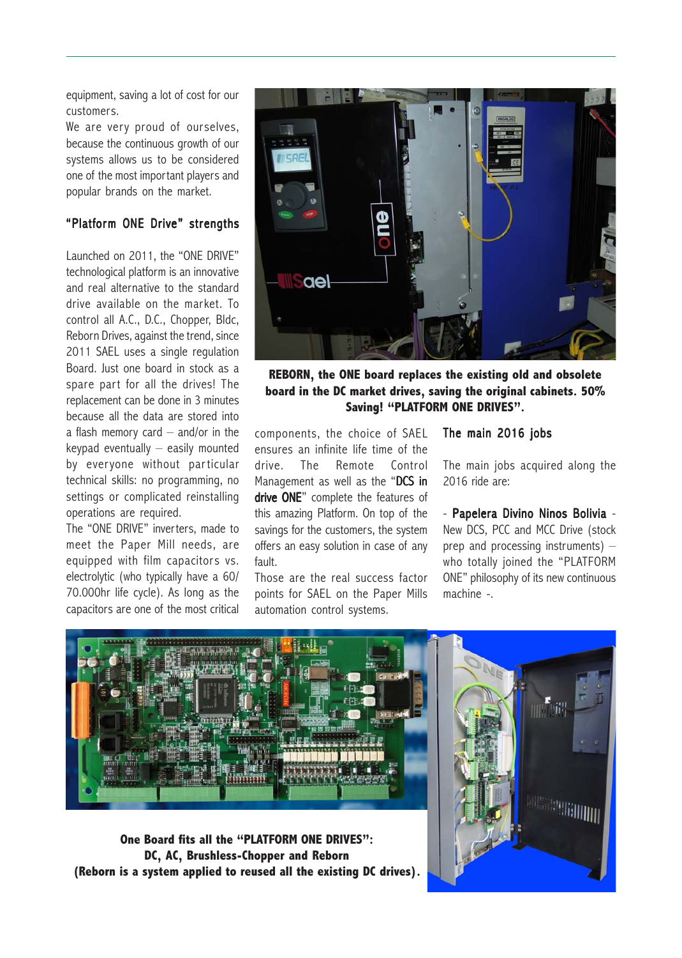equipment, saving a lot of cost for our customers.

We are very proud of ourselves, because the continuous growth of our systems allows us to be considered one of the most important players and popular brands on the market.

## "Platform ONE Drive" strengths

Launched on 2011, the "ONE DRIVE" technological platform is an innovative and real alternative to the standard drive available on the market. To control all A.C., D.C., Chopper, Bldc, Reborn Drives, against the trend, since 2011 SAEL uses a single regulation Board. Just one board in stock as a spare part for all the drives! The replacement can be done in 3 minutes because all the data are stored into a flash memory card  $-$  and/or in the  $keypad$  eventually  $-$  easily mounted by everyone without particular technical skills: no programming, no settings or complicated reinstalling operations are required.

The "ONE DRIVE" inverters, made to meet the Paper Mill needs, are equipped with film capacitors vs. electrolytic (who typically have a 60/ 70.000hr life cycle). As long as the capacitors are one of the most critical



**REBORN, the ONE board replaces the existing old and obsolete board in the DC market drives, saving the original cabinets. 50% Saving! "PLATFORM ONE DRIVES".**

components, the choice of SAEL ensures an infinite life time of the drive. The Remote Control Management as well as the "DCS in drive ONE" complete the features of this amazing Platform. On top of the savings for the customers, the system offers an easy solution in case of any fault.

Those are the real success factor points for SAEL on the Paper Mills automation control systems.

## The main 2016 jobs

The main jobs acquired along the 2016 ride are:

- Papelera Divino Ninos Bolivia -New DCS, PCC and MCC Drive (stock prep and processing instruments) – who totally joined the "PLATFORM ONE" philosophy of its new continuous machine -.



**One Board fits all the "PLATFORM ONE DRIVES": DC, AC, Brushless-Chopper and Reborn (Reborn is a system applied to reused all the existing DC drives).**

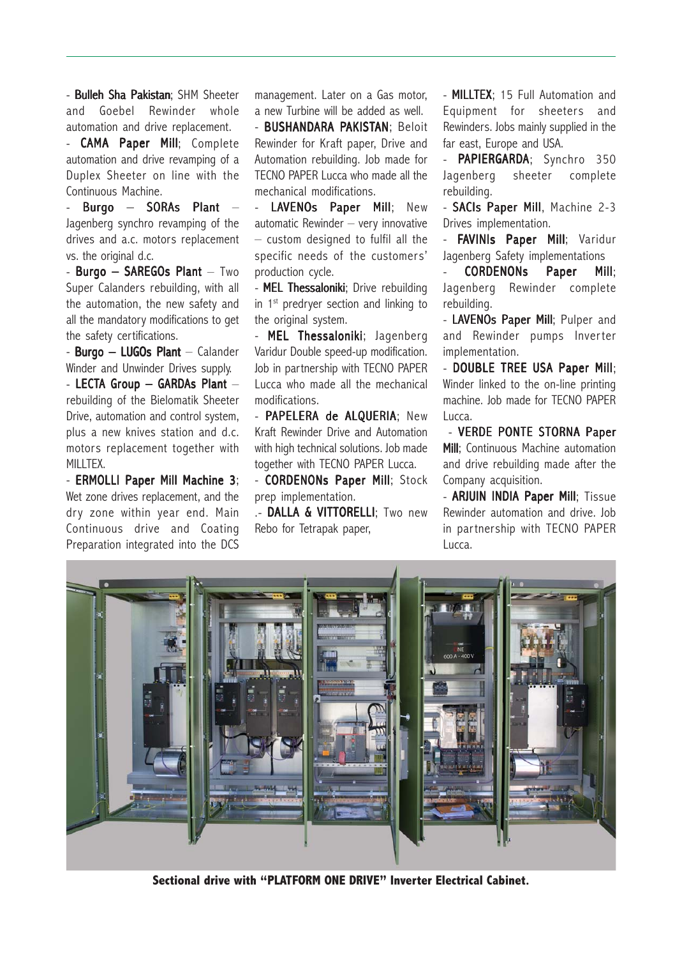- Bulleh Sha Pakistan; SHM Sheeter and Goebel Rewinder whole automation and drive replacement.

- **CAMA Paper Mill**; Complete automation and drive revamping of a Duplex Sheeter on line with the Continuous Machine.

- Burgo – SORAs Plant – Jagenberg synchro revamping of the drives and a.c. motors replacement vs. the original d.c.

- Burgo – SAREGOs Plant – Two Super Calanders rebuilding, with all the automation, the new safety and all the mandatory modifications to get the safety certifications.

- Burgo – LUGOs Plant – Calander Winder and Unwinder Drives supply.

 $-$  LECTA Group  $-$  GARDAs Plant  $$ rebuilding of the Bielomatik Sheeter Drive, automation and control system, plus a new knives station and d.c. motors replacement together with MILLTEX.

- ERMOLLI Paper Mill Machine 3; Wet zone drives replacement, and the dry zone within year end. Main Continuous drive and Coating Preparation integrated into the DCS management. Later on a Gas motor, a new Turbine will be added as well.

- **BUSHANDARA PAKISTAN**: Beloit Rewinder for Kraft paper, Drive and Automation rebuilding. Job made for TECNO PAPER Lucca who made all the mechanical modifications.

- LAVENOs Paper Mill; New automatic Rewinder – very innovative – custom designed to fulfil all the specific needs of the customers' production cycle.

- MEL Thessaloniki; Drive rebuilding in  $1<sup>st</sup>$  predryer section and linking to the original system.

- MEL Thessaloniki; Jagenberg Varidur Double speed-up modification. Job in partnership with TECNO PAPER Lucca who made all the mechanical modifications.

- PAPELERA de ALQUERIA; New Kraft Rewinder Drive and Automation with high technical solutions. Job made together with TECNO PAPER Lucca.

- CORDENONs Paper Mill; Stock prep implementation.

.- DALLA & VITTORELLI; Two new Rebo for Tetrapak paper,

- MILLTEX; 15 Full Automation and Equipment for sheeters and Rewinders. Jobs mainly supplied in the far east, Europe and USA.

- PAPIERGARDA; Synchro 350 Jagenberg sheeter complete rebuilding.

- SACIs Paper Mill, Machine 2-3 Drives implementation.

FAVINIs Paper Mill; Varidur Jagenberg Safety implementations

CORDENONs Paper Mill; Jagenberg Rewinder complete rebuilding.

- LAVENOs Paper Mill; Pulper and and Rewinder pumps Inverter implementation.

- DOUBLE TREE USA Paper Mill; Winder linked to the on-line printing machine. Job made for TECNO PAPER Lucca.

- VERDE PONTE STORNA Paper Mill; Continuous Machine automation and drive rebuilding made after the Company acquisition.

- **ARJUIN INDIA Paper Mill**; Tissue Rewinder automation and drive. Job in partnership with TECNO PAPER Lucca.



**Sectional drive with "PLATFORM ONE DRIVE" Inverter Electrical Cabinet.**